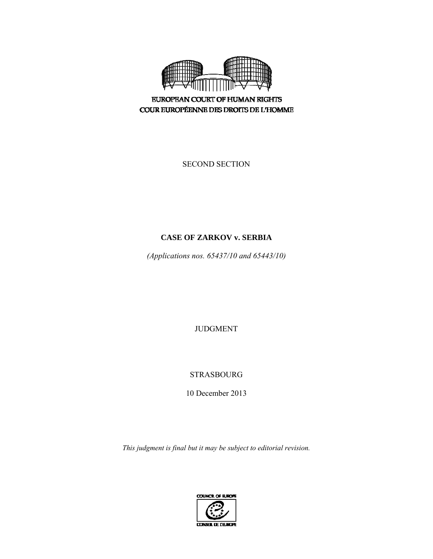

**EUROPEAN COURT OF HUMAN RIGHTS** COUR EUROPÉENNE DES DROITS DE L'HOMME

SECOND SECTION

# **CASE OF ZARKOV v. SERBIA**

*(Applications nos. 65437/10 and 65443/10)* 

JUDGMENT

STRASBOURG

10 December 2013

*This judgment is final but it may be subject to editorial revision.* 

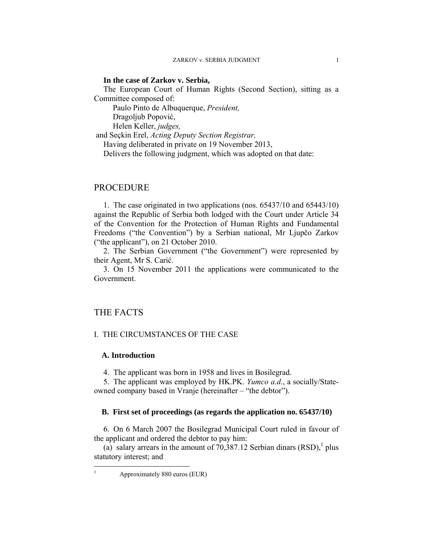### **In the case of Zarkov v. Serbia,**

The European Court of Human Rights (Second Section), sitting as a Committee composed of:

Paulo Pinto de Albuquerque, *President,* 

Dragoljub Popović,

Helen Keller, *judges,*

and Seçkin Erel, *Acting Deputy Section Registrar,* 

Having deliberated in private on 19 November 2013,

Delivers the following judgment, which was adopted on that date:

## PROCEDURE

1. The case originated in two applications (nos. 65437/10 and 65443/10) against the Republic of Serbia both lodged with the Court under Article 34 of the Convention for the Protection of Human Rights and Fundamental Freedoms ("the Convention") by a Serbian national, Mr Ljupčo Zarkov ("the applicant"), on 21 October 2010.

2. The Serbian Government ("the Government") were represented by their Agent, Mr S. Carić.

3. On 15 November 2011 the applications were communicated to the Government.

## THE FACTS

 $\frac{1}{1}$ 

## I. THE CIRCUMSTANCES OF THE CASE

### **A. Introduction**

4. The applicant was born in 1958 and lives in Bosilegrad.

5. The applicant was employed by HK.PK. *Yumco a.d.*, a socially/Stateowned company based in Vranje (hereinafter – "the debtor").

### **B. First set of proceedings (as regards the application no. 65437/10)**

6. On 6 March 2007 the Bosilegrad Municipal Court ruled in favour of the applicant and ordered the debtor to pay him:

(a) salary arrears in the amount of  $70,387.12$  Serbian dinars (RSD),<sup>1</sup> plus statutory interest; and

Approximately 880 euros (EUR)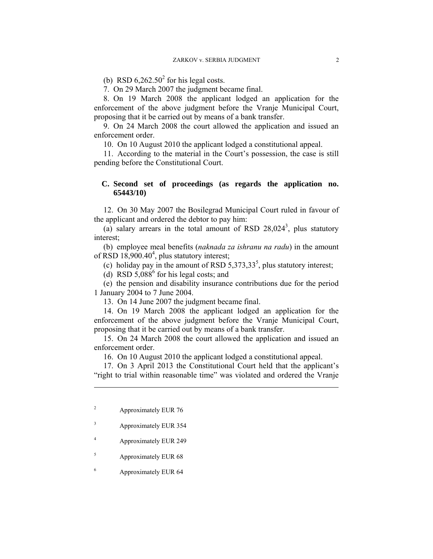(b) RSD  $6,262.50^2$  for his legal costs.

7. On 29 March 2007 the judgment became final.

8. On 19 March 2008 the applicant lodged an application for the enforcement of the above judgment before the Vranje Municipal Court, proposing that it be carried out by means of a bank transfer.

9. On 24 March 2008 the court allowed the application and issued an enforcement order.

10. On 10 August 2010 the applicant lodged a constitutional appeal.

11. According to the material in the Court's possession, the case is still pending before the Constitutional Court.

## **C. Second set of proceedings (as regards the application no. 65443/10)**

12. On 30 May 2007 the Bosilegrad Municipal Court ruled in favour of the applicant and ordered the debtor to pay him:

(a) salary arrears in the total amount of RSD  $28,024^3$ , plus statutory interest;

(b) employee meal benefits (*naknada za ishranu na radu*) in the amount of RSD  $18,900.40^4$ , plus statutory interest;

(c) holiday pay in the amount of RSD  $5,373,33^5$ , plus statutory interest;

(d) RSD  $5,088^6$  for his legal costs; and

(e) the pension and disability insurance contributions due for the period 1 January 2004 to 7 June 2004.

13. On 14 June 2007 the judgment became final.

14. On 19 March 2008 the applicant lodged an application for the enforcement of the above judgment before the Vranje Municipal Court, proposing that it be carried out by means of a bank transfer.

15. On 24 March 2008 the court allowed the application and issued an enforcement order.

16. On 10 August 2010 the applicant lodged a constitutional appeal.

17. On 3 April 2013 the Constitutional Court held that the applicant's "right to trial within reasonable time" was violated and ordered the Vranje

 $\overline{a}$ 

- 3 Approximately EUR 354
- 4 Approximately EUR 249
- 5 Approximately EUR 68
- 6 Approximately EUR 64

<sup>2</sup> Approximately EUR 76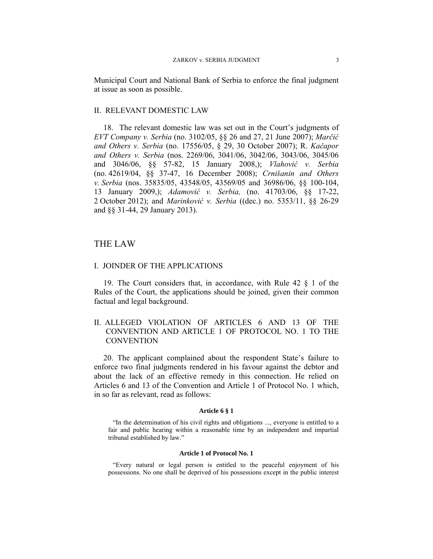Municipal Court and National Bank of Serbia to enforce the final judgment at issue as soon as possible.

### II. RELEVANT DOMESTIC LAW

18. The relevant domestic law was set out in the Court's judgments of *EVT Company v. Serbia* (no. 3102/05, §§ 26 and 27, 21 June 2007); *Marčić and Others v. Serbia* (no. 17556/05, § 29, 30 October 2007); R. *Kačapor and Others v. Serbia* (nos. 2269/06, 3041/06, 3042/06, 3043/06, 3045/06 and 3046/06, §§ 57-82, 15 January 2008,); *Vlahović v. Serbia* (no. 42619/04, §§ 37-47, 16 December 2008); *Crnišanin and Others v. Serbia* (nos. 35835/05, 43548/05, 43569/05 and 36986/06, §§ 100-104, 13 January 2009,); *Adamović v. Serbia,* (no. 41703/06, §§ 17-22, 2 October 2012); and *Marinković v. Serbia* ((dec.) no. 5353/11, §§ 26-29 and §§ 31-44, 29 January 2013).

## THE LAW

### I. JOINDER OF THE APPLICATIONS

19. The Court considers that, in accordance, with Rule 42 § 1 of the Rules of the Court, the applications should be joined, given their common factual and legal background.

## II. ALLEGED VIOLATION OF ARTICLES 6 AND 13 OF THE CONVENTION AND ARTICLE 1 OF PROTOCOL NO. 1 TO THE **CONVENTION**

20. The applicant complained about the respondent State's failure to enforce two final judgments rendered in his favour against the debtor and about the lack of an effective remedy in this connection. He relied on Articles 6 and 13 of the Convention and Article 1 of Protocol No. 1 which, in so far as relevant, read as follows:

#### **Article 6 § 1**

"In the determination of his civil rights and obligations ..., everyone is entitled to a fair and public hearing within a reasonable time by an independent and impartial tribunal established by law."

### **Article 1 of Protocol No. 1**

"Every natural or legal person is entitled to the peaceful enjoyment of his possessions. No one shall be deprived of his possessions except in the public interest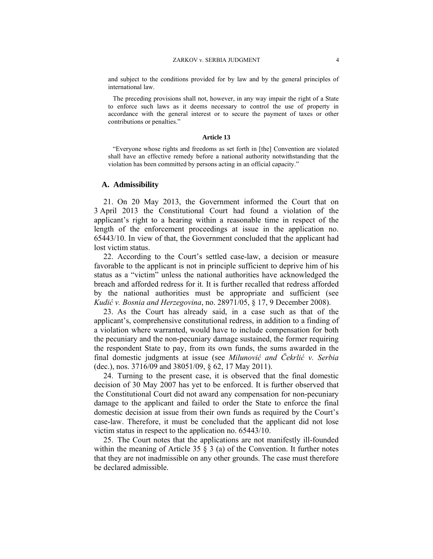and subject to the conditions provided for by law and by the general principles of international law.

The preceding provisions shall not, however, in any way impair the right of a State to enforce such laws as it deems necessary to control the use of property in accordance with the general interest or to secure the payment of taxes or other contributions or penalties."

#### **Article 13**

"Everyone whose rights and freedoms as set forth in [the] Convention are violated shall have an effective remedy before a national authority notwithstanding that the violation has been committed by persons acting in an official capacity."

### **A. Admissibility**

21. On 20 May 2013, the Government informed the Court that on 3 April 2013 the Constitutional Court had found a violation of the applicant's right to a hearing within a reasonable time in respect of the length of the enforcement proceedings at issue in the application no. 65443/10. In view of that, the Government concluded that the applicant had lost victim status.

22. According to the Court's settled case-law, a decision or measure favorable to the applicant is not in principle sufficient to deprive him of his status as a "victim" unless the national authorities have acknowledged the breach and afforded redress for it. It is further recalled that redress afforded by the national authorities must be appropriate and sufficient (see *Kudić v. Bosnia and Herzegovina*, no. 28971/05, § 17, 9 December 2008).

23. As the Court has already said, in a case such as that of the applicant's, comprehensive constitutional redress, in addition to a finding of a violation where warranted, would have to include compensation for both the pecuniary and the non-pecuniary damage sustained, the former requiring the respondent State to pay, from its own funds, the sums awarded in the final domestic judgments at issue (see *Milunović and Čekrlić v. Serbia* (dec.), nos. 3716/09 and 38051/09, § 62, 17 May 2011).

24. Turning to the present case, it is observed that the final domestic decision of 30 May 2007 has yet to be enforced. It is further observed that the Constitutional Court did not award any compensation for non-pecuniary damage to the applicant and failed to order the State to enforce the final domestic decision at issue from their own funds as required by the Court's case-law. Therefore, it must be concluded that the applicant did not lose victim status in respect to the application no. 65443/10.

25. The Court notes that the applications are not manifestly ill-founded within the meaning of Article 35  $\S$  3 (a) of the Convention. It further notes that they are not inadmissible on any other grounds. The case must therefore be declared admissible.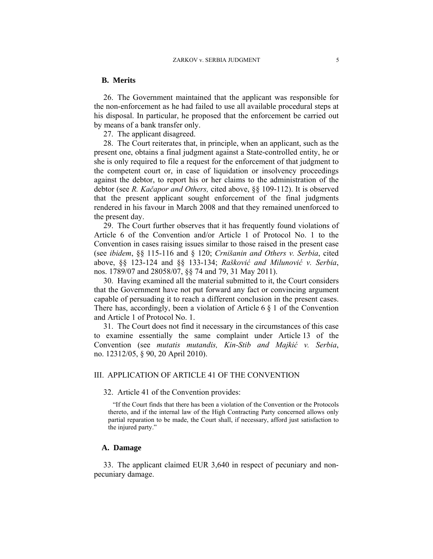### **B. Merits**

26. The Government maintained that the applicant was responsible for the non-enforcement as he had failed to use all available procedural steps at his disposal. In particular, he proposed that the enforcement be carried out by means of a bank transfer only.

27. The applicant disagreed.

28. The Court reiterates that, in principle, when an applicant, such as the present one, obtains a final judgment against a State-controlled entity, he or she is only required to file a request for the enforcement of that judgment to the competent court or, in case of liquidation or insolvency proceedings against the debtor, to report his or her claims to the administration of the debtor (see *R. Kačapor and Others,* cited above, §§ 109-112). It is observed that the present applicant sought enforcement of the final judgments rendered in his favour in March 2008 and that they remained unenforced to the present day.

29. The Court further observes that it has frequently found violations of Article 6 of the Convention and/or Article 1 of Protocol No. 1 to the Convention in cases raising issues similar to those raised in the present case (see *ibidem*, §§ 115-116 and § 120; *Crnišanin and Others v. Serbia*, cited above, §§ 123-124 and §§ 133-134; *Rašković and Milunović v. Serbia*, nos. 1789/07 and 28058/07, §§ 74 and 79, 31 May 2011).

30. Having examined all the material submitted to it, the Court considers that the Government have not put forward any fact or convincing argument capable of persuading it to reach a different conclusion in the present cases. There has, accordingly, been a violation of Article 6 § 1 of the Convention and Article 1 of Protocol No. 1.

31. The Court does not find it necessary in the circumstances of this case to examine essentially the same complaint under Article 13 of the Convention (see *mutatis mutandis, Kin-Stib and Majkić v. Serbia*, no. 12312/05, § 90, 20 April 2010).

### III. APPLICATION OF ARTICLE 41 OF THE CONVENTION

### 32. Article 41 of the Convention provides:

"If the Court finds that there has been a violation of the Convention or the Protocols thereto, and if the internal law of the High Contracting Party concerned allows only partial reparation to be made, the Court shall, if necessary, afford just satisfaction to the injured party."

### **A. Damage**

33. The applicant claimed EUR 3,640 in respect of pecuniary and nonpecuniary damage.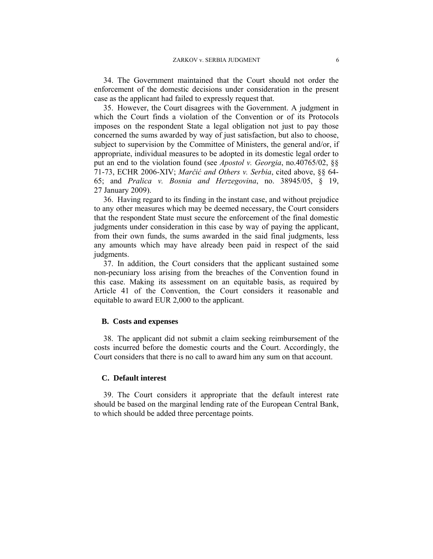34. The Government maintained that the Court should not order the enforcement of the domestic decisions under consideration in the present case as the applicant had failed to expressly request that.

35. However, the Court disagrees with the Government. A judgment in which the Court finds a violation of the Convention or of its Protocols imposes on the respondent State a legal obligation not just to pay those concerned the sums awarded by way of just satisfaction, but also to choose, subject to supervision by the Committee of Ministers, the general and/or, if appropriate, individual measures to be adopted in its domestic legal order to put an end to the violation found (see *Apostol v. Georgia*, no.40765/02, §§ 71-73, ECHR 2006-XIV; *Marčić and Others v. Serbia*, cited above, §§ 64- 65; and *Pralica v. Bosnia and Herzegovina*, no. 38945/05, § 19, 27 January 2009).

36. Having regard to its finding in the instant case, and without prejudice to any other measures which may be deemed necessary, the Court considers that the respondent State must secure the enforcement of the final domestic judgments under consideration in this case by way of paying the applicant, from their own funds, the sums awarded in the said final judgments, less any amounts which may have already been paid in respect of the said judgments.

37. In addition, the Court considers that the applicant sustained some non-pecuniary loss arising from the breaches of the Convention found in this case. Making its assessment on an equitable basis, as required by Article 41 of the Convention, the Court considers it reasonable and equitable to award EUR 2,000 to the applicant.

### **B. Costs and expenses**

38. The applicant did not submit a claim seeking reimbursement of the costs incurred before the domestic courts and the Court. Accordingly, the Court considers that there is no call to award him any sum on that account.

### **C. Default interest**

39. The Court considers it appropriate that the default interest rate should be based on the marginal lending rate of the European Central Bank, to which should be added three percentage points.